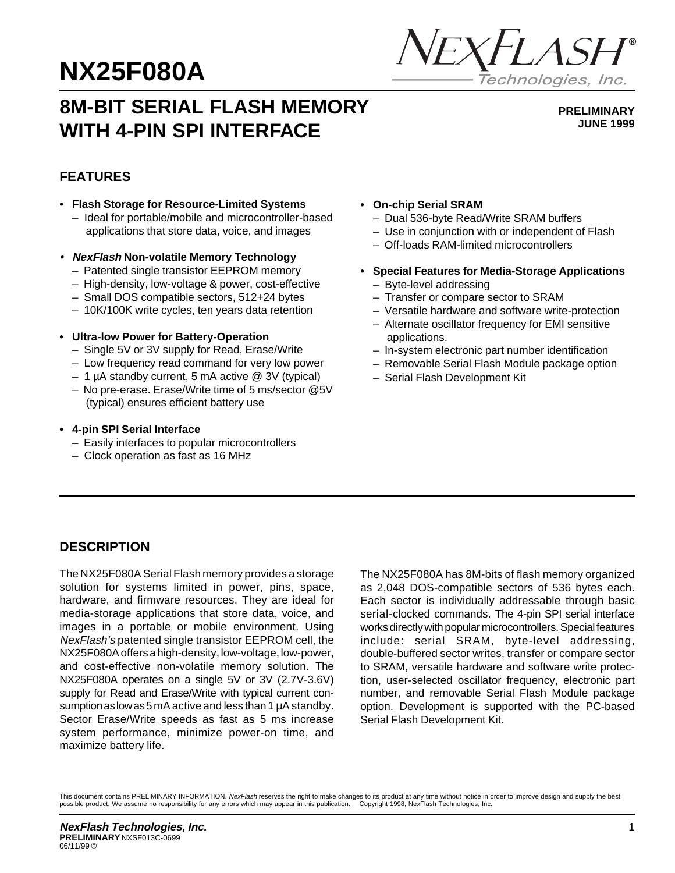# **NX25F080A**



## **8M-BIT SERIAL FLASH MEMORY WITH 4-PIN SPI INTERFACE**

**PRELIMINARY JUNE 1999**

## **FEATURES**

- **Flash Storage for Resource-Limited Systems** – Ideal for portable/mobile and microcontroller-based applications that store data, voice, and images
- **• NexFlash Non-volatile Memory Technology**
	- Patented single transistor EEPROM memory
	- High-density, low-voltage & power, cost-effective
	- Small DOS compatible sectors, 512+24 bytes
	- 10K/100K write cycles, ten years data retention
- **Ultra-low Power for Battery-Operation**
	- Single 5V or 3V supply for Read, Erase/Write
	- Low frequency read command for very low power
	- 1 µA standby current, 5 mA active @ 3V (typical)
	- No pre-erase. Erase/Write time of 5 ms/sector @5V (typical) ensures efficient battery use
- **4-pin SPI Serial Interface**
	- Easily interfaces to popular microcontrollers
	- Clock operation as fast as 16 MHz
- **On-chip Serial SRAM**
	- Dual 536-byte Read/Write SRAM buffers
	- Use in conjunction with or independent of Flash
	- Off-loads RAM-limited microcontrollers
- **Special Features for Media-Storage Applications** – Byte-level addressing
	- Transfer or compare sector to SRAM
	- Versatile hardware and software write-protection
	- Alternate oscillator frequency for EMI sensitive applications.
	- In-system electronic part number identification
	- Removable Serial Flash Module package option
	- Serial Flash Development Kit

## **DESCRIPTION**

The NX25F080A Serial Flash memory provides a storage solution for systems limited in power, pins, space, hardware, and firmware resources. They are ideal for media-storage applications that store data, voice, and images in a portable or mobile environment. Using NexFlash's patented single transistor EEPROM cell, the NX25F080A offers a high-density, low-voltage, low-power, and cost-effective non-volatile memory solution. The NX25F080A operates on a single 5V or 3V (2.7V-3.6V) supply for Read and Erase/Write with typical current consumption as low as 5 mA active and less than 1  $\mu$ A standby. Sector Erase/Write speeds as fast as 5 ms increase system performance, minimize power-on time, and maximize battery life.

The NX25F080A has 8M-bits of flash memory organized as 2,048 DOS-compatible sectors of 536 bytes each. Each sector is individually addressable through basic serial-clocked commands. The 4-pin SPI serial interface works directly with popular microcontrollers. Special features include: serial SRAM, byte-level addressing, double-buffered sector writes, transfer or compare sector to SRAM, versatile hardware and software write protection, user-selected oscillator frequency, electronic part number, and removable Serial Flash Module package option. Development is supported with the PC-based Serial Flash Development Kit.

This document contains PRELIMINARY INFORMATION. NexFlash reserves the right to make changes to its product at any time without notice in order to improve design and supply the best possible product. We assume no responsibility for any errors which may appear in this publication. © Copyright 1998, NexFlash Technologies, Inc.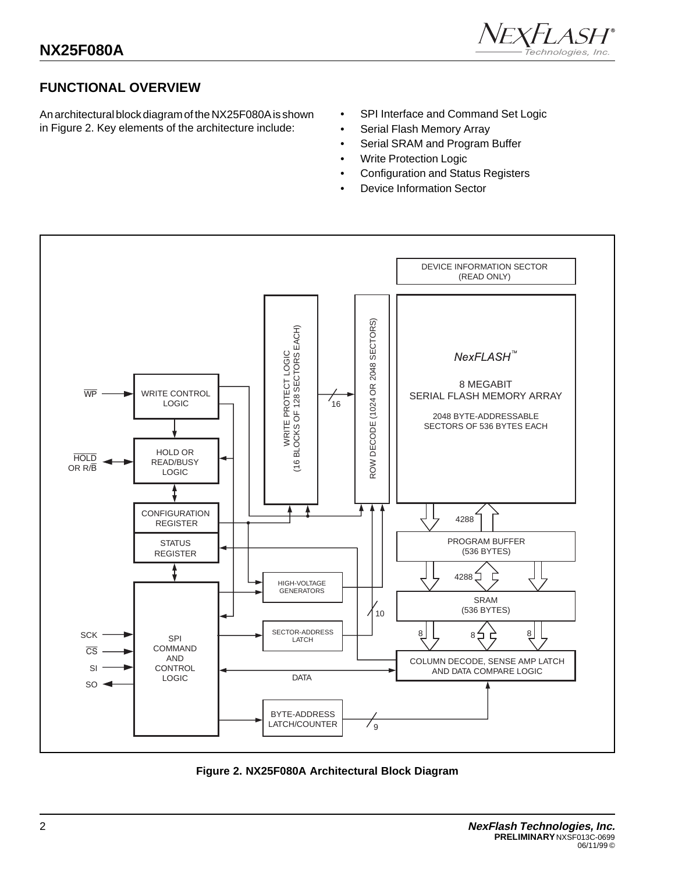

## **FUNCTIONAL OVERVIEW**

An architectural block diagram of the NX25F080A is shown in Figure 2. Key elements of the architecture include:

- SPI Interface and Command Set Logic
- Serial Flash Memory Array
- Serial SRAM and Program Buffer
- Write Protection Logic
- Configuration and Status Registers
- Device Information Sector



**Figure 2. NX25F080A Architectural Block Diagram**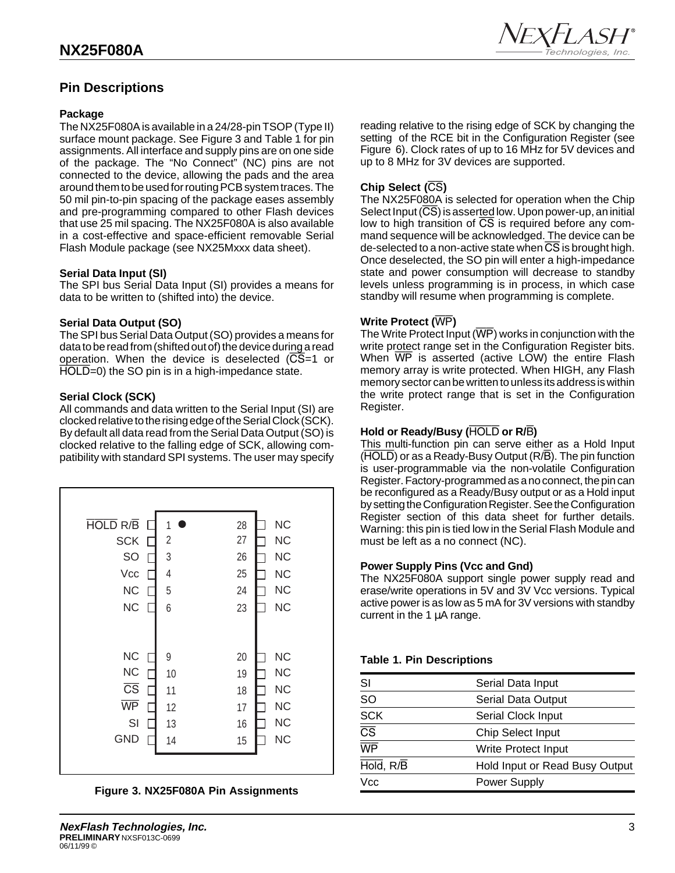## **Pin Descriptions**

#### **Package**

The NX25F080A is available in a 24/28-pin TSOP (Type II) surface mount package. See Figure 3 and Table 1 for pin assignments. All interface and supply pins are on one side of the package. The "No Connect" (NC) pins are not connected to the device, allowing the pads and the area around them to be used for routing PCB system traces. The 50 mil pin-to-pin spacing of the package eases assembly and pre-programming compared to other Flash devices that use 25 mil spacing. The NX25F080A is also available in a cost-effective and space-efficient removable Serial Flash Module package (see NX25Mxxx data sheet).

#### **Serial Data Input (SI)**

The SPI bus Serial Data Input (SI) provides a means for data to be written to (shifted into) the device.

#### **Serial Data Output (SO)**

The SPI bus Serial Data Output (SO) provides a means for data to be read from (shifted out of) the device during a read operation. When the device is deselected  $(\overline{CS}=1)$  or HOLD=0) the SO pin is in a high-impedance state.

#### **Serial Clock (SCK)**

All commands and data written to the Serial Input (SI) are clocked relative to the rising edge of the Serial Clock (SCK). By default all data read from the Serial Data Output (SO) is clocked relative to the falling edge of SCK, allowing compatibility with standard SPI systems. The user may specify







reading relative to the rising edge of SCK by changing the setting of the RCE bit in the Configuration Register (see Figure 6). Clock rates of up to 16 MHz for 5V devices and up to 8 MHz for 3V devices are supported.

#### **Chip Select (**CS**)**

The NX25F080A is selected for operation when the Chip Select Input  $(\overline{CS})$  is asserted low. Upon power-up, an initial low to high transition of  $\overline{CS}$  is required before any command sequence will be acknowledged. The device can be de-selected to a non-active state when  $\overline{\text{CS}}$  is brought high. Once deselected, the SO pin will enter a high-impedance state and power consumption will decrease to standby levels unless programming is in process, in which case standby will resume when programming is complete.

#### **Write Protect (**WP**)**

The Write Protect Input  $(\overline{WP})$  works in conjunction with the write protect range set in the Configuration Register bits. When  $\overline{WP}$  is asserted (active LOW) the entire Flash memory array is write protected. When HIGH, any Flash memory sector can be written to unless its address is within the write protect range that is set in the Configuration Register.

#### **Hold or Ready/Busy (**HOLD **or R/**B**)**

This multi-function pin can serve either as a Hold Input (HOLD) or as a Ready-Busy Output (R/B). The pin function is user-programmable via the non-volatile Configuration Register. Factory-programmed as a no connect, the pin can be reconfigured as a Ready/Busy output or as a Hold input by setting the Configuration Register. See the Configuration Register section of this data sheet for further details. Warning: this pin is tied low in the Serial Flash Module and must be left as a no connect (NC).

#### **Power Supply Pins (Vcc and Gnd)**

The NX25F080A support single power supply read and erase/write operations in 5V and 3V Vcc versions. Typical active power is as low as 5 mA for 3V versions with standby current in the 1 µA range.

#### **Table 1. Pin Descriptions**

| SI                     | Serial Data Input              |
|------------------------|--------------------------------|
| SO                     | Serial Data Output             |
| <b>SCK</b>             | Serial Clock Input             |
| $\overline{\text{CS}}$ | <b>Chip Select Input</b>       |
| WP                     | Write Protect Input            |
| Hold, R/B              | Hold Input or Read Busy Output |
| Vcc                    | <b>Power Supply</b>            |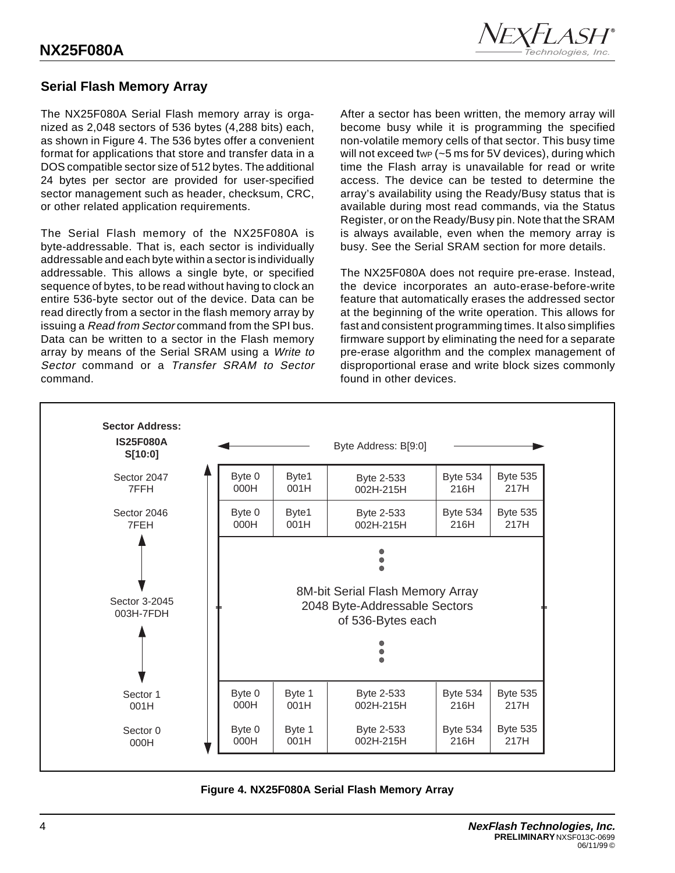

## **Serial Flash Memory Array**

The NX25F080A Serial Flash memory array is organized as 2,048 sectors of 536 bytes (4,288 bits) each, as shown in Figure 4. The 536 bytes offer a convenient format for applications that store and transfer data in a DOS compatible sector size of 512 bytes. The additional 24 bytes per sector are provided for user-specified sector management such as header, checksum, CRC, or other related application requirements.

The Serial Flash memory of the NX25F080A is byte-addressable. That is, each sector is individually addressable and each byte within a sector is individually addressable. This allows a single byte, or specified sequence of bytes, to be read without having to clock an entire 536-byte sector out of the device. Data can be read directly from a sector in the flash memory array by issuing a Read from Sector command from the SPI bus. Data can be written to a sector in the Flash memory array by means of the Serial SRAM using a Write to Sector command or a Transfer SRAM to Sector command.

After a sector has been written, the memory array will become busy while it is programming the specified non-volatile memory cells of that sector. This busy time will not exceed twp  $(-5 \text{ ms}$  for 5V devices), during which time the Flash array is unavailable for read or write access. The device can be tested to determine the array's availability using the Ready/Busy status that is available during most read commands, via the Status Register, or on the Ready/Busy pin. Note that the SRAM is always available, even when the memory array is busy. See the Serial SRAM section for more details.

The NX25F080A does not require pre-erase. Instead, the device incorporates an auto-erase-before-write feature that automatically erases the addressed sector at the beginning of the write operation. This allows for fast and consistent programming times. It also simplifies firmware support by eliminating the need for a separate pre-erase algorithm and the complex management of disproportional erase and write block sizes commonly found in other devices.



**Figure 4. NX25F080A Serial Flash Memory Array**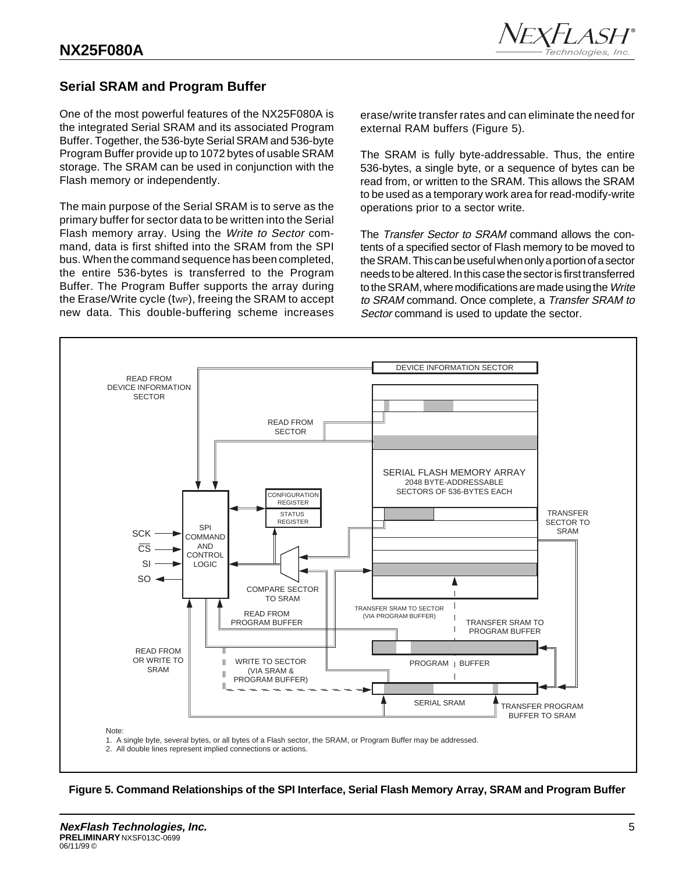

## **Serial SRAM and Program Buffer**

One of the most powerful features of the NX25F080A is the integrated Serial SRAM and its associated Program Buffer. Together, the 536-byte Serial SRAM and 536-byte Program Buffer provide up to 1072 bytes of usable SRAM storage. The SRAM can be used in conjunction with the Flash memory or independently.

The main purpose of the Serial SRAM is to serve as the primary buffer for sector data to be written into the Serial Flash memory array. Using the Write to Sector command, data is first shifted into the SRAM from the SPI bus. When the command sequence has been completed, the entire 536-bytes is transferred to the Program Buffer. The Program Buffer supports the array during the Erase/Write cycle (tWP), freeing the SRAM to accept new data. This double-buffering scheme increases

erase/write transfer rates and can eliminate the need for external RAM buffers (Figure 5).

The SRAM is fully byte-addressable. Thus, the entire 536-bytes, a single byte, or a sequence of bytes can be read from, or written to the SRAM. This allows the SRAM to be used as a temporary work area for read-modify-write operations prior to a sector write.

The Transfer Sector to SRAM command allows the contents of a specified sector of Flash memory to be moved to the SRAM. This can be useful when only a portion of a sector needs to be altered. In this case the sector is first transferred to the SRAM, where modifications are made using the Write to SRAM command. Once complete, a Transfer SRAM to Sector command is used to update the sector.



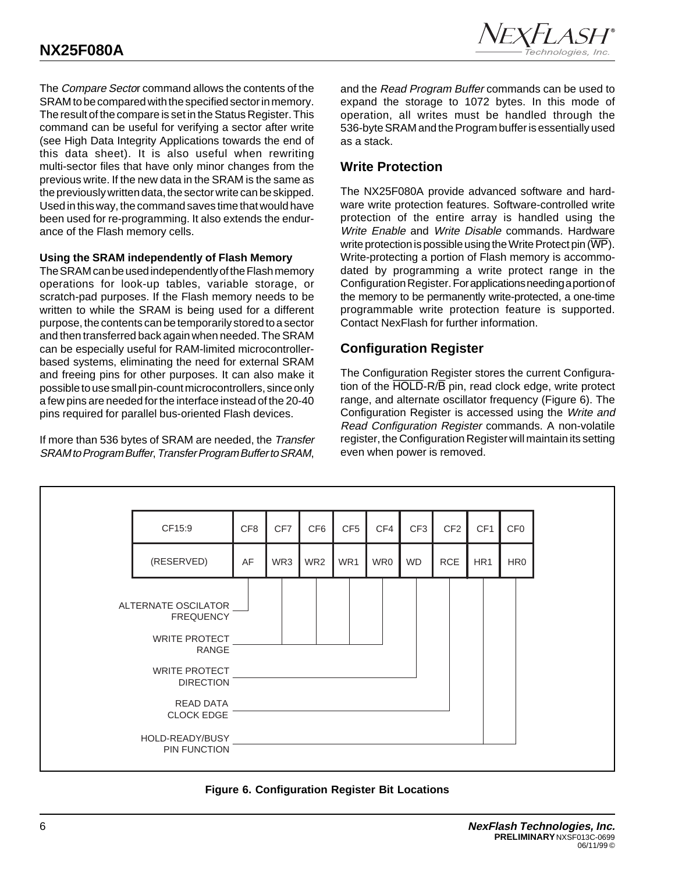The Compare Sector command allows the contents of the SRAM to be compared with the specified sector in memory. The result of the compare is set in the Status Register. This command can be useful for verifying a sector after write (see High Data Integrity Applications towards the end of this data sheet). It is also useful when rewriting multi-sector files that have only minor changes from the previous write. If the new data in the SRAM is the same as the previously written data, the sector write can be skipped. Used in this way, the command saves time that would have been used for re-programming. It also extends the endurance of the Flash memory cells.

#### **Using the SRAM independently of Flash Memory**

The SRAM can be used independently of the Flash memory operations for look-up tables, variable storage, or scratch-pad purposes. If the Flash memory needs to be written to while the SRAM is being used for a different purpose, the contents can be temporarily stored to a sector and then transferred back again when needed. The SRAM can be especially useful for RAM-limited microcontrollerbased systems, eliminating the need for external SRAM and freeing pins for other purposes. It can also make it possible to use small pin-count microcontrollers, since only a few pins are needed for the interface instead of the 20-40 pins required for parallel bus-oriented Flash devices.

If more than 536 bytes of SRAM are needed, the Transfer SRAM to Program Buffer, Transfer Program Buffer to SRAM,

and the Read Program Buffer commands can be used to expand the storage to 1072 bytes. In this mode of operation, all writes must be handled through the 536-byte SRAM and the Program buffer is essentially used as a stack.

## **Write Protection**

The NX25F080A provide advanced software and hardware write protection features. Software-controlled write protection of the entire array is handled using the Write Enable and Write Disable commands. Hardware write protection is possible using the Write Protect pin  $(\overline{WP})$ . Write-protecting a portion of Flash memory is accommodated by programming a write protect range in the Configuration Register. For applications needing a portion of the memory to be permanently write-protected, a one-time programmable write protection feature is supported. Contact NexFlash for further information.

## **Configuration Register**

The Configuration Register stores the current Configuration of the HOLD-R/B pin, read clock edge, write protect range, and alternate oscillator frequency (Figure 6). The Configuration Register is accessed using the Write and Read Configuration Register commands. A non-volatile register, the Configuration Register will maintain its setting even when power is removed.



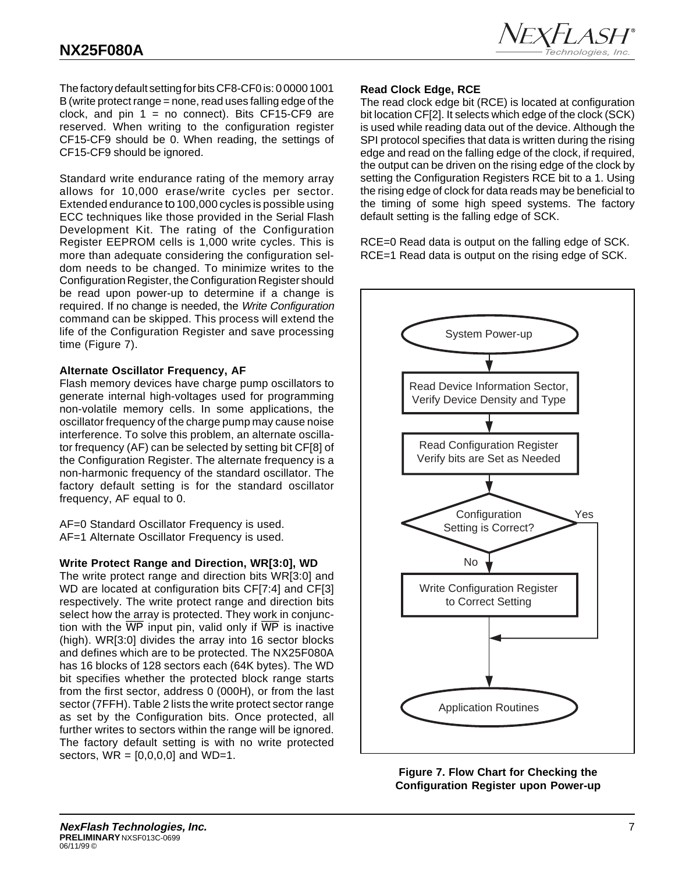

The factory default setting for bits CF8-CF0 is: 0 0000 1001 B (write protect range = none, read uses falling edge of the clock, and pin  $1 = no$  connect). Bits CF15-CF9 are reserved. When writing to the configuration register CF15-CF9 should be 0. When reading, the settings of CF15-CF9 should be ignored.

Standard write endurance rating of the memory array allows for 10,000 erase/write cycles per sector. Extended endurance to 100,000 cycles is possible using ECC techniques like those provided in the Serial Flash Development Kit. The rating of the Configuration Register EEPROM cells is 1,000 write cycles. This is more than adequate considering the configuration seldom needs to be changed. To minimize writes to the Configuration Register, the Configuration Register should be read upon power-up to determine if a change is required. If no change is needed, the Write Configuration command can be skipped. This process will extend the life of the Configuration Register and save processing time (Figure 7).

#### **Alternate Oscillator Frequency, AF**

Flash memory devices have charge pump oscillators to generate internal high-voltages used for programming non-volatile memory cells. In some applications, the oscillator frequency of the charge pump may cause noise interference. To solve this problem, an alternate oscillator frequency (AF) can be selected by setting bit CF[8] of the Configuration Register. The alternate frequency is a non-harmonic frequency of the standard oscillator. The factory default setting is for the standard oscillator frequency, AF equal to 0.

AF=0 Standard Oscillator Frequency is used. AF=1 Alternate Oscillator Frequency is used.

#### **Write Protect Range and Direction, WR[3:0], WD**

The write protect range and direction bits WR[3:0] and WD are located at configuration bits CF[7:4] and CF[3] respectively. The write protect range and direction bits select how the array is protected. They work in conjunction with the  $\overline{WP}$  input pin, valid only if  $\overline{WP}$  is inactive (high). WR[3:0] divides the array into 16 sector blocks and defines which are to be protected. The NX25F080A has 16 blocks of 128 sectors each (64K bytes). The WD bit specifies whether the protected block range starts from the first sector, address 0 (000H), or from the last sector (7FFH). Table 2 lists the write protect sector range as set by the Configuration bits. Once protected, all further writes to sectors within the range will be ignored. The factory default setting is with no write protected sectors,  $WR = [0,0,0,0]$  and  $WD=1$ .

#### **Read Clock Edge, RCE**

The read clock edge bit (RCE) is located at configuration bit location CF[2]. It selects which edge of the clock (SCK) is used while reading data out of the device. Although the SPI protocol specifies that data is written during the rising edge and read on the falling edge of the clock, if required, the output can be driven on the rising edge of the clock by setting the Configuration Registers RCE bit to a 1. Using the rising edge of clock for data reads may be beneficial to the timing of some high speed systems. The factory default setting is the falling edge of SCK.

RCE=0 Read data is output on the falling edge of SCK. RCE=1 Read data is output on the rising edge of SCK.



**Figure 7. Flow Chart for Checking the Configuration Register upon Power-up**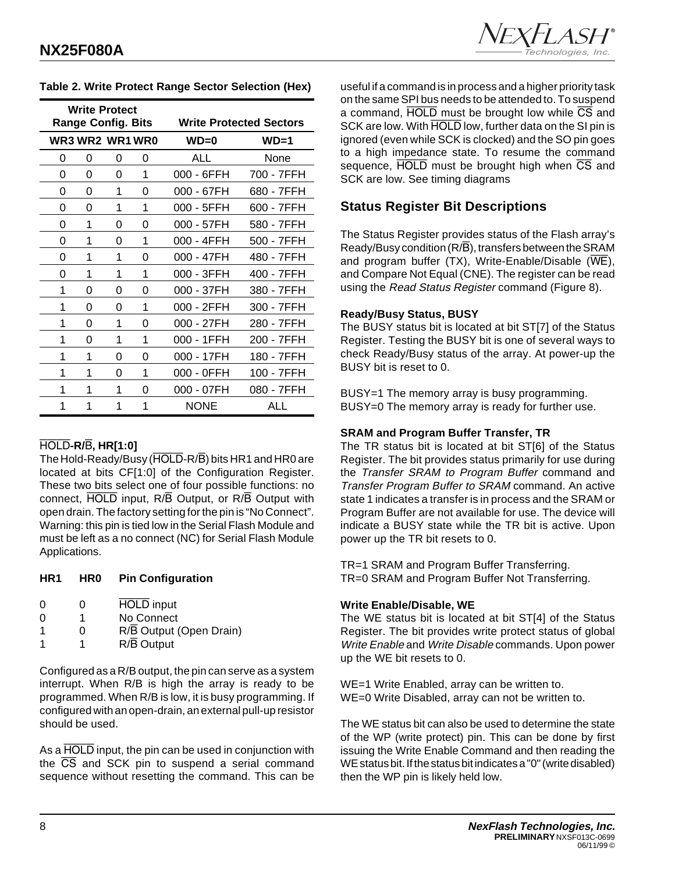|   | <b>Write Protect</b><br><b>Range Config. Bits</b> |   |   |              | <b>Write Protected Sectors</b> |
|---|---------------------------------------------------|---|---|--------------|--------------------------------|
|   | <b>WR3 WR2 WR1 WR0</b>                            |   |   | $WD=0$       | $WD=1$                         |
| 0 | 0                                                 | 0 | 0 | ALL          | None                           |
| 0 | 0                                                 | 0 | 1 | 000 - 6FFH   | 700 - 7FFH                     |
| 0 | 0                                                 | 1 | 0 | 000 - 67FH   | 680 - 7FFH                     |
| 0 | 0                                                 | 1 | 1 | 000 - 5FFH   | 600 - 7FFH                     |
| 0 | 1                                                 | 0 | 0 | 000 - 57FH   | 580 - 7FFH                     |
| 0 | 1                                                 | 0 | 1 | 000 - 4FFH   | 500 - 7FFH                     |
| 0 | 1                                                 | 1 | 0 | 000 - 47FH   | 480 - 7FFH                     |
| 0 | 1                                                 | 1 | 1 | 000 - 3FFH   | 400 - 7FFH                     |
| 1 | 0                                                 | 0 | 0 | 000 - 37FH   | 380 - 7FFH                     |
| 1 | 0                                                 | 0 | 1 | 000 - 2FFH   | 300 - 7FFH                     |
| 1 | 0                                                 | 1 | 0 | $000 - 27FH$ | 280 - 7FFH                     |
| 1 | 0                                                 | 1 | 1 | 000 - 1FFH   | 200 - 7FFH                     |
| 1 | 1                                                 | 0 | 0 | 000 - 17FH   | 180 - 7FFH                     |
| 1 | 1                                                 | 0 | 1 | 000 - 0FFH   | 100 - 7FFH                     |
| 1 | 1                                                 | 1 | 0 | 000 - 07FH   | 080 - 7FFH                     |
|   |                                                   |   | 1 | <b>NONE</b>  | ALL                            |

#### **Table 2. Write Protect Range Sector Selection (Hex)**

## HOLD**-R/**B**, HR[1:0]**

The Hold-Ready/Busy (HOLD-R/B) bits HR1 and HR0 are located at bits CF[1:0] of the Configuration Register. These two bits select one of four possible functions: no connect, HOLD input, R/B Output, or R/B Output with open drain. The factory setting for the pin is "No Connect". Warning: this pin is tied low in the Serial Flash Module and must be left as a no connect (NC) for Serial Flash Module Applications.

#### **HR1 HR0 Pin Configuration**

| $\Omega$     | O | <b>HOLD</b> input       |
|--------------|---|-------------------------|
| <sup>0</sup> |   | No Connect              |
|              | O | R/B Output (Open Drain) |
|              |   | $R/\overline{B}$ Output |
|              |   |                         |

Configured as a R/B output, the pin can serve as a system interrupt. When R/B is high the array is ready to be programmed. When R/B is low, it is busy programming. If configured with an open-drain, an external pull-up resistor should be used.

As a **HOLD** input, the pin can be used in conjunction with the  $\overline{CS}$  and SCK pin to suspend a serial command sequence without resetting the command. This can be

useful if a command is in process and a higher priority task on the same SPI bus needs to be attended to. To suspend a command,  $\overline{HOLD}$  must be brought low while  $\overline{CS}$  and SCK are low. With HOLD low, further data on the SI pin is ignored (even while SCK is clocked) and the SO pin goes to a high impedance state. To resume the command sequence, HOLD must be brought high when  $\overline{CS}$  and SCK are low. See timing diagrams

## **Status Register Bit Descriptions**

The Status Register provides status of the Flash array's Ready/Busy condition  $(R/\overline{B})$ , transfers between the SRAM and program buffer  $(TX)$ , Write-Enable/Disable  $(\overline{WE})$ , and Compare Not Equal (CNE). The register can be read using the Read Status Register command (Figure 8).

#### **Ready/Busy Status, BUSY**

The BUSY status bit is located at bit ST[7] of the Status Register. Testing the BUSY bit is one of several ways to check Ready/Busy status of the array. At power-up the BUSY bit is reset to 0.

BUSY=1 The memory array is busy programming. BUSY=0 The memory array is ready for further use.

#### **SRAM and Program Buffer Transfer, TR**

The TR status bit is located at bit ST[6] of the Status Register. The bit provides status primarily for use during the Transfer SRAM to Program Buffer command and Transfer Program Buffer to SRAM command. An active state 1 indicates a transfer is in process and the SRAM or Program Buffer are not available for use. The device will indicate a BUSY state while the TR bit is active. Upon power up the TR bit resets to 0.

TR=1 SRAM and Program Buffer Transferring. TR=0 SRAM and Program Buffer Not Transferring.

#### **Write Enable/Disable, WE**

The WE status bit is located at bit ST[4] of the Status Register. The bit provides write protect status of global Write Enable and Write Disable commands. Upon power up the WE bit resets to 0.

WE=1 Write Enabled, array can be written to. WE=0 Write Disabled, array can not be written to.

The WE status bit can also be used to determine the state of the WP (write protect) pin. This can be done by first issuing the Write Enable Command and then reading the WE status bit. If the status bit indicates a "0" (write disabled) then the WP pin is likely held low.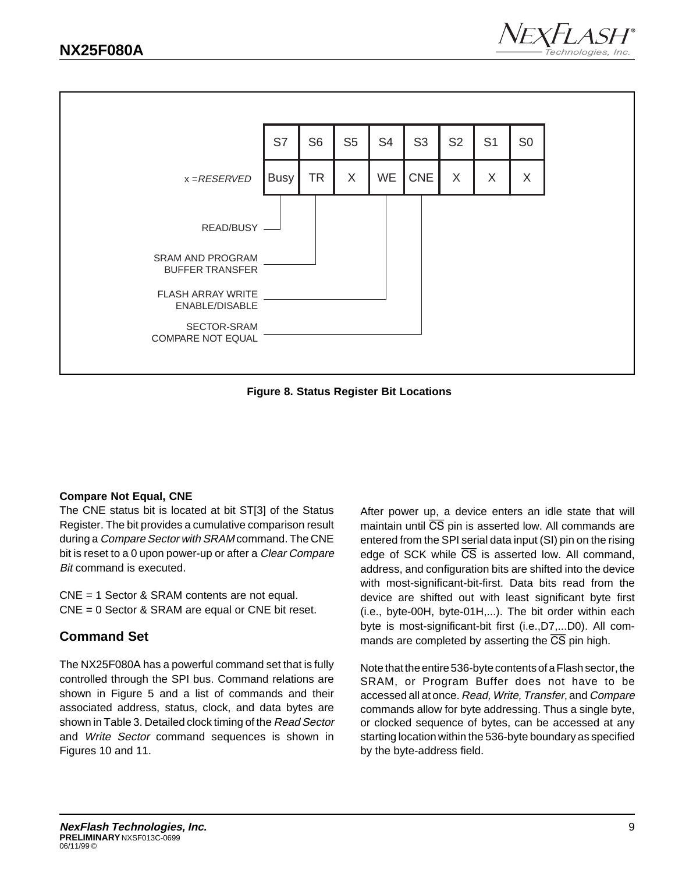



**Figure 8. Status Register Bit Locations**

#### **Compare Not Equal, CNE**

The CNE status bit is located at bit ST[3] of the Status Register. The bit provides a cumulative comparison result during a Compare Sector with SRAM command. The CNE bit is reset to a 0 upon power-up or after a *Clear Compare* Bit command is executed.

CNE = 1 Sector & SRAM contents are not equal. CNE = 0 Sector & SRAM are equal or CNE bit reset.

## **Command Set**

The NX25F080A has a powerful command set that is fully controlled through the SPI bus. Command relations are shown in Figure 5 and a list of commands and their associated address, status, clock, and data bytes are shown in Table 3. Detailed clock timing of the Read Sector and Write Sector command sequences is shown in Figures 10 and 11.

After power up, a device enters an idle state that will maintain until  $\overline{CS}$  pin is asserted low. All commands are entered from the SPI serial data input (SI) pin on the rising edge of SCK while  $\overline{CS}$  is asserted low. All command, address, and configuration bits are shifted into the device with most-significant-bit-first. Data bits read from the device are shifted out with least significant byte first (i.e., byte-00H, byte-01H,...). The bit order within each byte is most-significant-bit first (i.e.,D7,...D0). All commands are completed by asserting the  $\overline{CS}$  pin high.

Note that the entire 536-byte contents of a Flash sector, the SRAM, or Program Buffer does not have to be accessed all at once. Read, Write, Transfer, and Compare commands allow for byte addressing. Thus a single byte, or clocked sequence of bytes, can be accessed at any starting location within the 536-byte boundary as specified by the byte-address field.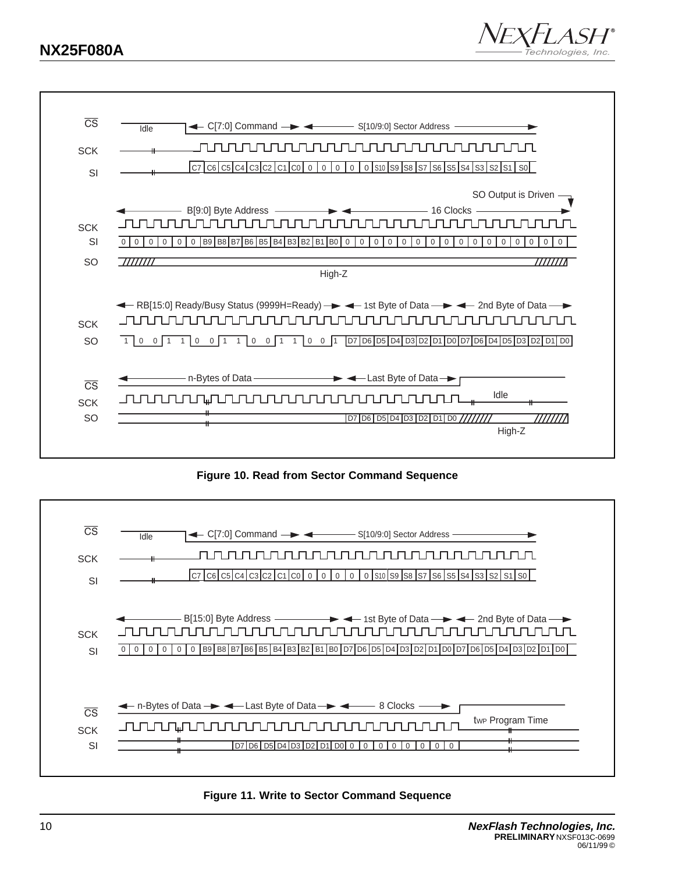## **NX25F080A**





**Figure 10. Read from Sector Command Sequence**



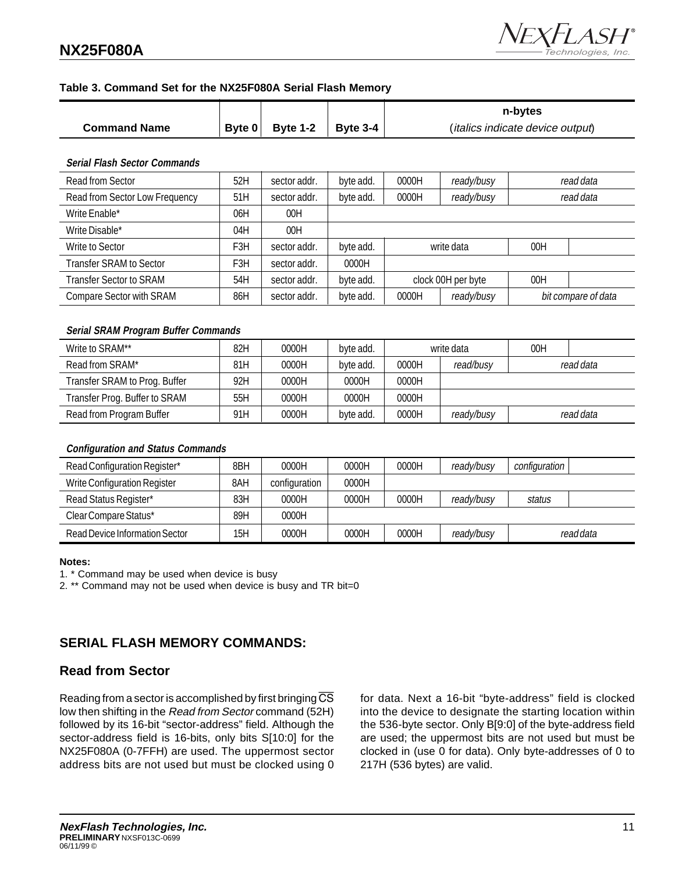## **NX25F080A**



#### **Table 3. Command Set for the NX25F080A Serial Flash Memory**

|                     |                                 |                 | n-bytes                                   |
|---------------------|---------------------------------|-----------------|-------------------------------------------|
| <b>Command Name</b> | $\vert$ Byte 0 $\vert$ Byte 1-2 | <b>Byte 3-4</b> | ( <i>italics indicate device output</i> ) |

#### **Serial Flash Sector Commands**

| Read from Sector                | 52H | sector addr. | byte add. | 0000H               | ready/busy | read data |                     |
|---------------------------------|-----|--------------|-----------|---------------------|------------|-----------|---------------------|
| Read from Sector Low Frequency  | 51H | sector addr. | byte add. | 0000H               | ready/busy | read data |                     |
| Write Enable*                   | 06H | 00H          |           |                     |            |           |                     |
| Write Disable*                  | 04H | 00H          |           |                     |            |           |                     |
| Write to Sector                 | F3H | sector addr. | byte add. | write data          |            | 00H       |                     |
| <b>Transfer SRAM to Sector</b>  | F3H | sector addr. | 0000H     |                     |            |           |                     |
| <b>Transfer Sector to SRAM</b>  | 54H | sector addr. | byte add. | clock 00H per byte  |            | 00H       |                     |
| <b>Compare Sector with SRAM</b> | 86H | sector addr. | byte add. | ready/busy<br>0000H |            |           | bit compare of data |

#### **Serial SRAM Program Buffer Commands**

| Write to SRAM**               | 82H | 0000H | byte add. |       | write data | 00H |           |
|-------------------------------|-----|-------|-----------|-------|------------|-----|-----------|
| Read from SRAM*               | 81H | 0000H | byte add. | 0000H | read/busy  |     | read data |
| Transfer SRAM to Prog. Buffer | 92H | 0000H | 0000H     | 0000H |            |     |           |
| Transfer Prog. Buffer to SRAM | 55H | 0000H | 0000H     | 0000H |            |     |           |
| Read from Program Buffer      | 91H | 0000H | byte add. | 0000H | ready/busy |     | read data |

#### **Configuration and Status Commands**

| Read Configuration Register*        | 8BH | 0000H         | 0000H | 0000H | ready/busy | configuration |  |
|-------------------------------------|-----|---------------|-------|-------|------------|---------------|--|
| <b>Write Configuration Register</b> | 8AH | configuration | 0000H |       |            |               |  |
| Read Status Register*               | 83H | 0000H         | 0000H | 0000H | ready/busy | status        |  |
| Clear Compare Status*               | 89H | 0000H         |       |       |            |               |  |
| Read Device Information Sector      | 15H | 0000H         | 0000H | 0000H | ready/busy | readdata      |  |

#### **Notes:**

1. \* Command may be used when device is busy

2. \*\* Command may not be used when device is busy and TR bit=0

## **SERIAL FLASH MEMORY COMMANDS:**

#### **Read from Sector**

Reading from a sector is accomplished by first bringing  $\overline{\text{CS}}$ low then shifting in the Read from Sector command (52H) followed by its 16-bit "sector-address" field. Although the sector-address field is 16-bits, only bits S[10:0] for the NX25F080A (0-7FFH) are used. The uppermost sector address bits are not used but must be clocked using 0 for data. Next a 16-bit "byte-address" field is clocked into the device to designate the starting location within the 536-byte sector. Only B[9:0] of the byte-address field are used; the uppermost bits are not used but must be clocked in (use 0 for data). Only byte-addresses of 0 to 217H (536 bytes) are valid.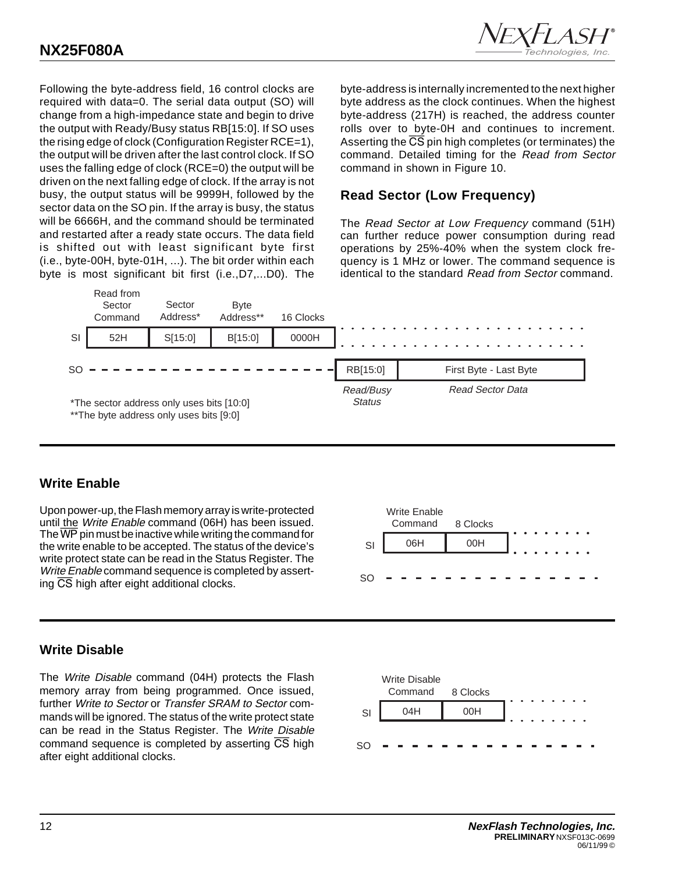

Following the byte-address field, 16 control clocks are required with data=0. The serial data output (SO) will change from a high-impedance state and begin to drive the output with Ready/Busy status RB[15:0]. If SO uses the rising edge of clock (Configuration Register RCE=1), the output will be driven after the last control clock. If SO uses the falling edge of clock (RCE=0) the output will be driven on the next falling edge of clock. If the array is not busy, the output status will be 9999H, followed by the sector data on the SO pin. If the array is busy, the status will be 6666H, and the command should be terminated and restarted after a ready state occurs. The data field is shifted out with least significant byte first (i.e., byte-00H, byte-01H, ...). The bit order within each byte is most significant bit first (i.e.,D7,...D0). The

byte-address is internally incremented to the next higher byte address as the clock continues. When the highest byte-address (217H) is reached, the address counter rolls over to byte-0H and continues to increment. Asserting the CS pin high completes (or terminates) the command. Detailed timing for the Read from Sector command in shown in Figure 10.

## **Read Sector (Low Frequency)**

The Read Sector at Low Frequency command (51H) can further reduce power consumption during read operations by 25%-40% when the system clock frequency is 1 MHz or lower. The command sequence is identical to the standard Read from Sector command.



## **Write Enable**

Upon power-up, the Flash memory array is write-protected until the Write Enable command (06H) has been issued. The  $\overline{\text{WP}}$  pin must be inactive while writing the command for the write enable to be accepted. The status of the device's write protect state can be read in the Status Register. The Write Enable command sequence is completed by asserting CS high after eight additional clocks.



## **Write Disable**

The Write Disable command (04H) protects the Flash memory array from being programmed. Once issued, further Write to Sector or Transfer SRAM to Sector commands will be ignored. The status of the write protect state can be read in the Status Register. The Write Disable command sequence is completed by asserting CS high after eight additional clocks.

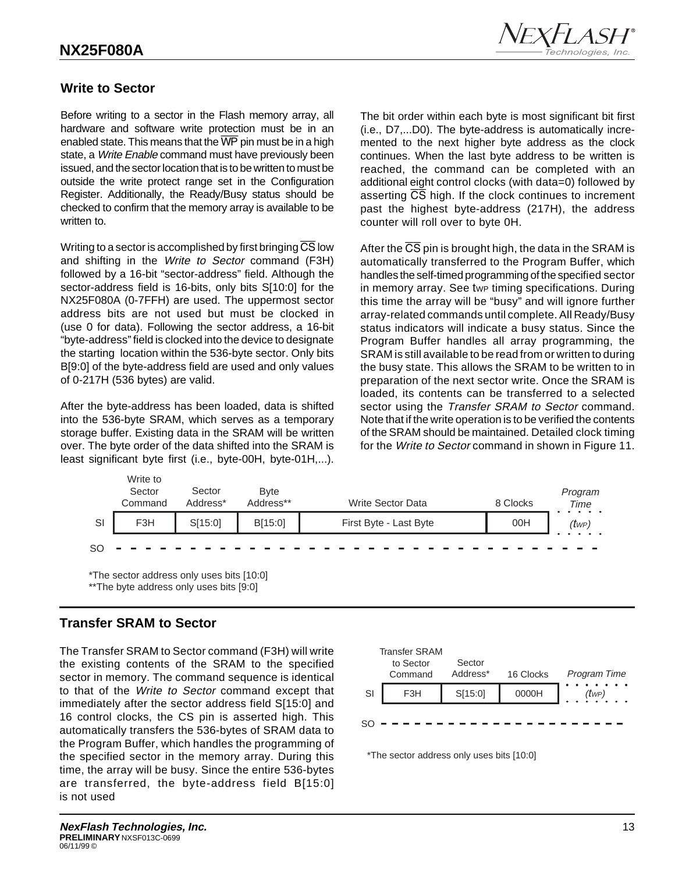

## **Write to Sector**

Before writing to a sector in the Flash memory array, all hardware and software write protection must be in an enabled state. This means that the  $\overline{\text{WP}}$  pin must be in a high state, a Write Enable command must have previously been issued, and the sector location that is to be written to must be outside the write protect range set in the Configuration Register. Additionally, the Ready/Busy status should be checked to confirm that the memory array is available to be written to.

Writing to a sector is accomplished by first bringing  $\overline{\text{CS}}$  low and shifting in the Write to Sector command (F3H) followed by a 16-bit "sector-address" field. Although the sector-address field is 16-bits, only bits S[10:0] for the NX25F080A (0-7FFH) are used. The uppermost sector address bits are not used but must be clocked in (use 0 for data). Following the sector address, a 16-bit "byte-address" field is clocked into the device to designate the starting location within the 536-byte sector. Only bits B[9:0] of the byte-address field are used and only values of 0-217H (536 bytes) are valid.

After the byte-address has been loaded, data is shifted into the 536-byte SRAM, which serves as a temporary storage buffer. Existing data in the SRAM will be written over. The byte order of the data shifted into the SRAM is least significant byte first (i.e., byte-00H, byte-01H,...).

The bit order within each byte is most significant bit first (i.e., D7,...D0). The byte-address is automatically incremented to the next higher byte address as the clock continues. When the last byte address to be written is reached, the command can be completed with an additional eight control clocks (with data=0) followed by asserting  $\overline{CS}$  high. If the clock continues to increment past the highest byte-address (217H), the address counter will roll over to byte 0H.

After the  $\overline{CS}$  pin is brought high, the data in the SRAM is automatically transferred to the Program Buffer, which handles the self-timed programming of the specified sector in memory array. See twe timing specifications. During this time the array will be "busy" and will ignore further array-related commands until complete. All Ready/Busy status indicators will indicate a busy status. Since the Program Buffer handles all array programming, the SRAM is still available to be read from or written to during the busy state. This allows the SRAM to be written to in preparation of the next sector write. Once the SRAM is loaded, its contents can be transferred to a selected sector using the Transfer SRAM to Sector command. Note that if the write operation is to be verified the contents of the SRAM should be maintained. Detailed clock timing for the Write to Sector command in shown in Figure 11.



\*The sector address only uses bits [10:0] \*\*The byte address only uses bits [9:0]

## **Transfer SRAM to Sector**

The Transfer SRAM to Sector command (F3H) will write the existing contents of the SRAM to the specified sector in memory. The command sequence is identical to that of the Write to Sector command except that immediately after the sector address field S[15:0] and 16 control clocks, the CS pin is asserted high. This automatically transfers the 536-bytes of SRAM data to the Program Buffer, which handles the programming of the specified sector in the memory array. During this time, the array will be busy. Since the entire 536-bytes are transferred, the byte-address field B[15:0] is not used



\*The sector address only uses bits [10:0]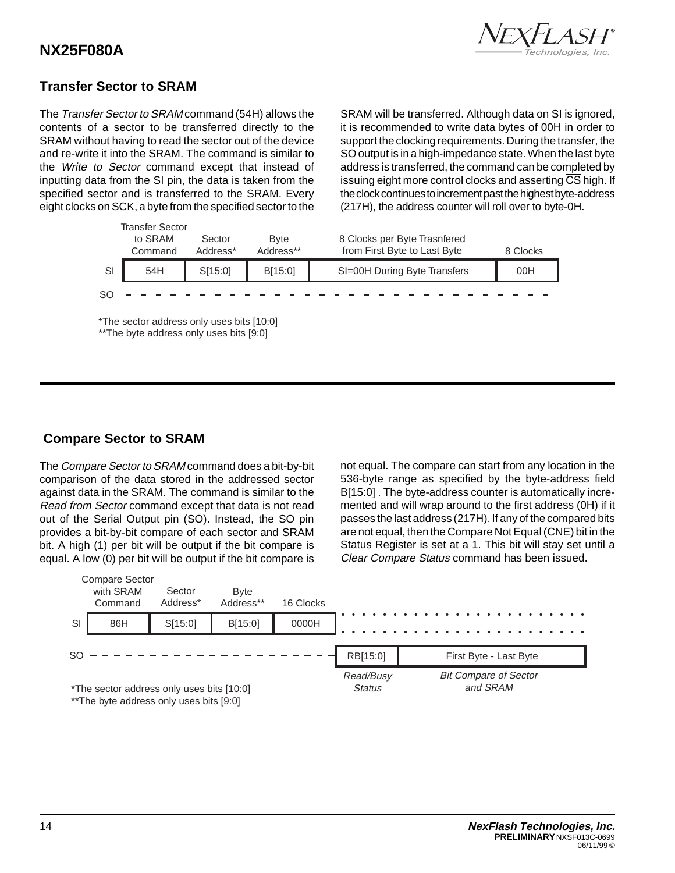

## **Transfer Sector to SRAM**

The Transfer Sector to SRAM command (54H) allows the contents of a sector to be transferred directly to the SRAM without having to read the sector out of the device and re-write it into the SRAM. The command is similar to the Write to Sector command except that instead of inputting data from the SI pin, the data is taken from the specified sector and is transferred to the SRAM. Every eight clocks on SCK, a byte from the specified sector to the

SRAM will be transferred. Although data on SI is ignored, it is recommended to write data bytes of 00H in order to support the clocking requirements. During the transfer, the SO output is in a high-impedance state. When the last byte address is transferred, the command can be completed by issuing eight more control clocks and asserting CS high. If the clock continues to increment past the highest byte-address (217H), the address counter will roll over to byte-0H.

|    | Transfer Sector<br>to SRAM<br>Command                                                 | Sector<br>Address* | <b>Byte</b><br>Address** | 8 Clocks per Byte Trasnfered<br>from First Byte to Last Byte | 8 Clocks |  |  |  |  |  |
|----|---------------------------------------------------------------------------------------|--------------------|--------------------------|--------------------------------------------------------------|----------|--|--|--|--|--|
| SI | 54H                                                                                   | SI15:01            | B[15:0]                  | SI=00H During Byte Transfers                                 | 00H      |  |  |  |  |  |
| SO |                                                                                       |                    |                          |                                                              |          |  |  |  |  |  |
|    | *The sector address only uses bits [10:0]<br>** The byte address only uses bits [9:0] |                    |                          |                                                              |          |  |  |  |  |  |

## **Compare Sector to SRAM**

The Compare Sector to SRAM command does a bit-by-bit comparison of the data stored in the addressed sector against data in the SRAM. The command is similar to the Read from Sector command except that data is not read out of the Serial Output pin (SO). Instead, the SO pin provides a bit-by-bit compare of each sector and SRAM bit. A high (1) per bit will be output if the bit compare is equal. A low (0) per bit will be output if the bit compare is

not equal. The compare can start from any location in the 536-byte range as specified by the byte-address field B[15:0] . The byte-address counter is automatically incremented and will wrap around to the first address (0H) if it passes the last address (217H). If any of the compared bits are not equal, then the Compare Not Equal (CNE) bit in the Status Register is set at a 1. This bit will stay set until a Clear Compare Status command has been issued.

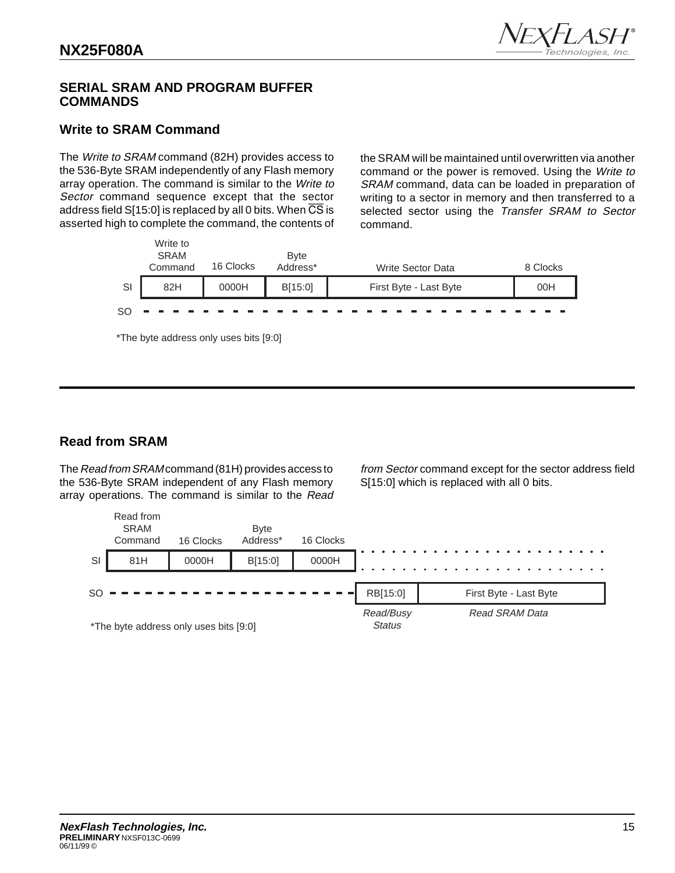

## **SERIAL SRAM AND PROGRAM BUFFER COMMANDS**

## **Write to SRAM Command**

The Write to SRAM command (82H) provides access to the 536-Byte SRAM independently of any Flash memory array operation. The command is similar to the Write to Sector command sequence except that the sector address field  $S[15:0]$  is replaced by all 0 bits. When  $\overline{CS}$  is asserted high to complete the command, the contents of the SRAM will be maintained until overwritten via another command or the power is removed. Using the Write to SRAM command, data can be loaded in preparation of writing to a sector in memory and then transferred to a selected sector using the Transfer SRAM to Sector command.



\*The byte address only uses bits [9:0]

## **Read from SRAM**

The Read from SRAM command (81H) provides access to the 536-Byte SRAM independent of any Flash memory array operations. The command is similar to the Read from Sector command except for the sector address field S[15:0] which is replaced with all 0 bits.

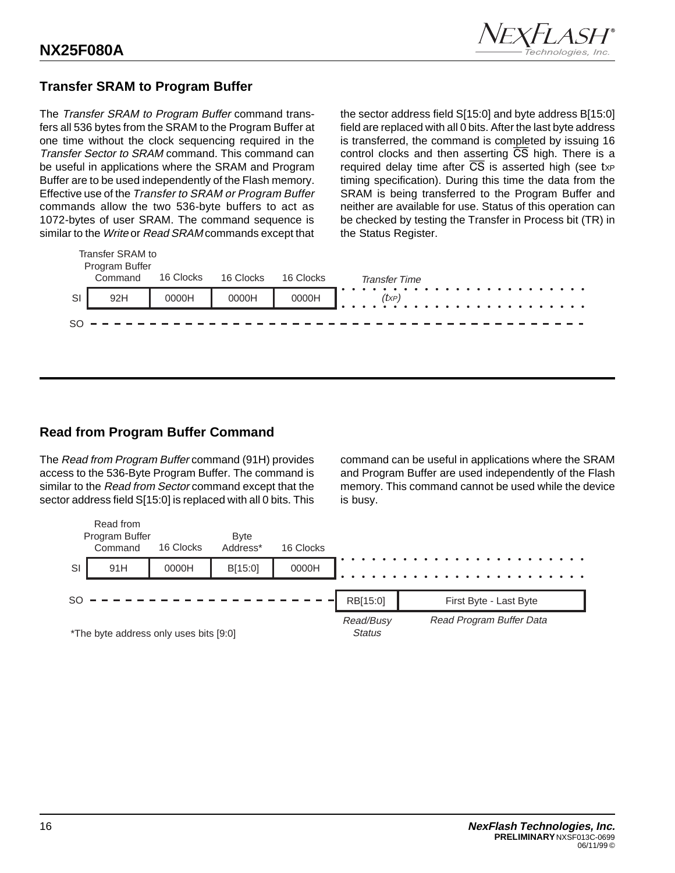

## **Transfer SRAM to Program Buffer**

The Transfer SRAM to Program Buffer command transfers all 536 bytes from the SRAM to the Program Buffer at one time without the clock sequencing required in the Transfer Sector to SRAM command. This command can be useful in applications where the SRAM and Program Buffer are to be used independently of the Flash memory. Effective use of the Transfer to SRAM or Program Buffer commands allow the two 536-byte buffers to act as 1072-bytes of user SRAM. The command sequence is similar to the Write or Read SRAM commands except that the sector address field S[15:0] and byte address B[15:0] field are replaced with all 0 bits. After the last byte address is transferred, the command is completed by issuing 16 control clocks and then asserting CS high. There is a required delay time after  $\overline{CS}$  is asserted high (see txp timing specification). During this time the data from the SRAM is being transferred to the Program Buffer and neither are available for use. Status of this operation can be checked by testing the Transfer in Process bit (TR) in the Status Register.

|    | Transfer SRAM to<br>Program Buffer |           |           |           |                      |
|----|------------------------------------|-----------|-----------|-----------|----------------------|
|    | Command                            | 16 Clocks | 16 Clocks | 16 Clocks | <b>Transfer Time</b> |
| SI | 92H                                | 0000H     | 0000H     | 0000H     | (txp)                |
|    |                                    |           |           |           |                      |

## **Read from Program Buffer Command**

The Read from Program Buffer command (91H) provides access to the 536-Byte Program Buffer. The command is similar to the Read from Sector command except that the sector address field S[15:0] is replaced with all 0 bits. This command can be useful in applications where the SRAM and Program Buffer are used independently of the Flash memory. This command cannot be used while the device is busy.

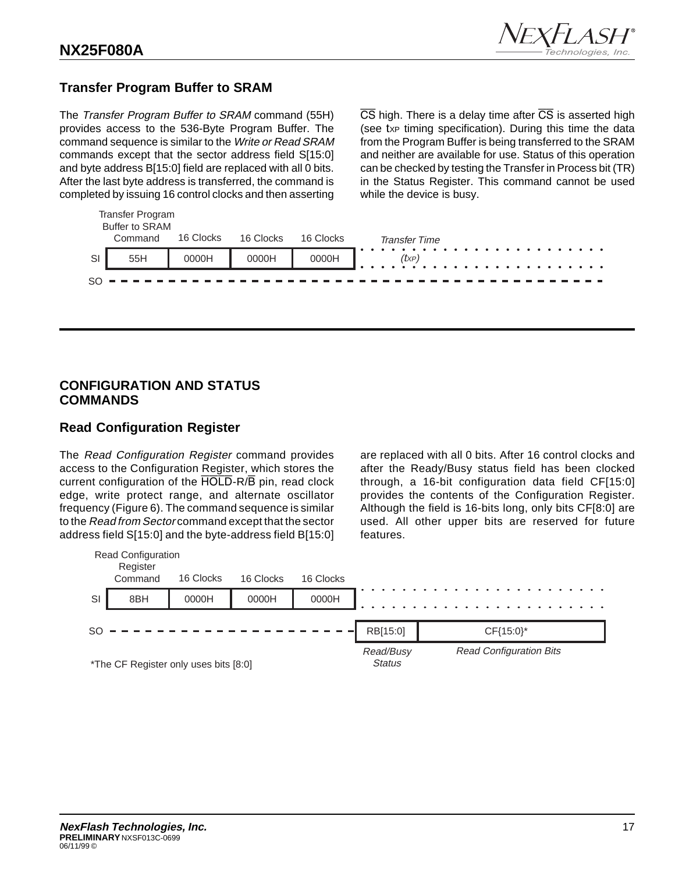

## **Transfer Program Buffer to SRAM**

Transfer Program

The Transfer Program Buffer to SRAM command (55H) provides access to the 536-Byte Program Buffer. The command sequence is similar to the Write or Read SRAM commands except that the sector address field S[15:0] and byte address B[15:0] field are replaced with all 0 bits. After the last byte address is transferred, the command is completed by issuing 16 control clocks and then asserting

 $\overline{CS}$  high. There is a delay time after  $\overline{CS}$  is asserted high (see txp timing specification). During this time the data from the Program Buffer is being transferred to the SRAM and neither are available for use. Status of this operation can be checked by testing the Transfer in Process bit (TR) in the Status Register. This command cannot be used while the device is busy.

|    | $\sim$<br><b>Buffer to SRAM</b> |           |           |             |                            |
|----|---------------------------------|-----------|-----------|-------------|----------------------------|
|    | Command                         | 16 Clocks | 16 Clocks | 16 Clocks   | <b>Transfer Time</b>       |
| SI | 55H                             | 0000H     | 0000H     | 0000H       | $(t \times P)$<br><u>.</u> |
|    |                                 | --------- |           | ----------- |                            |

## **CONFIGURATION AND STATUS COMMANDS**

## **Read Configuration Register**

The Read Configuration Register command provides access to the Configuration Register, which stores the current configuration of the HOLD-R/B pin, read clock edge, write protect range, and alternate oscillator frequency (Figure 6). The command sequence is similar to the Read from Sector command except that the sector address field S[15:0] and the byte-address field B[15:0]

are replaced with all 0 bits. After 16 control clocks and after the Ready/Busy status field has been clocked through, a 16-bit configuration data field CF[15:0] provides the contents of the Configuration Register. Although the field is 16-bits long, only bits CF[8:0] are used. All other upper bits are reserved for future features.

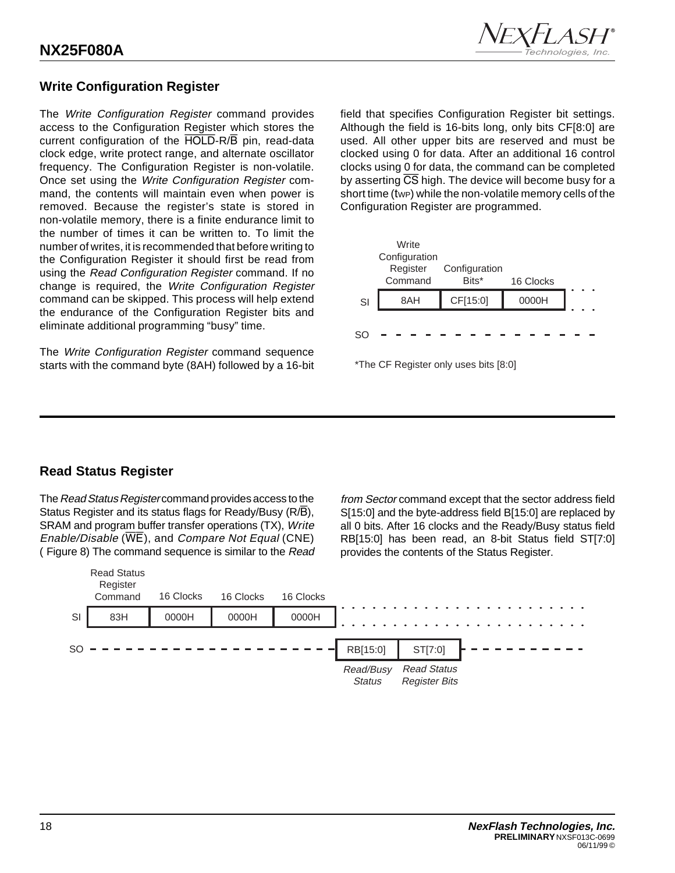

## **Write Configuration Register**

The Write Configuration Register command provides access to the Configuration Register which stores the current configuration of the HOLD-R/B pin, read-data clock edge, write protect range, and alternate oscillator frequency. The Configuration Register is non-volatile. Once set using the Write Configuration Register command, the contents will maintain even when power is removed. Because the register's state is stored in non-volatile memory, there is a finite endurance limit to the number of times it can be written to. To limit the number of writes, it is recommended that before writing to the Configuration Register it should first be read from using the Read Configuration Register command. If no change is required, the Write Configuration Register command can be skipped. This process will help extend the endurance of the Configuration Register bits and eliminate additional programming "busy" time.

The Write Configuration Register command sequence starts with the command byte (8AH) followed by a 16-bit field that specifies Configuration Register bit settings. Although the field is 16-bits long, only bits CF[8:0] are used. All other upper bits are reserved and must be clocked using 0 for data. After an additional 16 control clocks using 0 for data, the command can be completed by asserting  $\overline{CS}$  high. The device will become busy for a short time (twp) while the non-volatile memory cells of the Configuration Register are programmed.





## **Read Status Register**

The Read Status Register command provides access to the Status Register and its status flags for Ready/Busy (R/B), SRAM and program buffer transfer operations (TX), Write Enable/Disable ( $\overline{WE}$ ), and Compare Not Equal (CNE) ( Figure 8) The command sequence is similar to the Read

from Sector command except that the sector address field S[15:0] and the byte-address field B[15:0] are replaced by all 0 bits. After 16 clocks and the Ready/Busy status field RB[15:0] has been read, an 8-bit Status field ST[7:0] provides the contents of the Status Register.

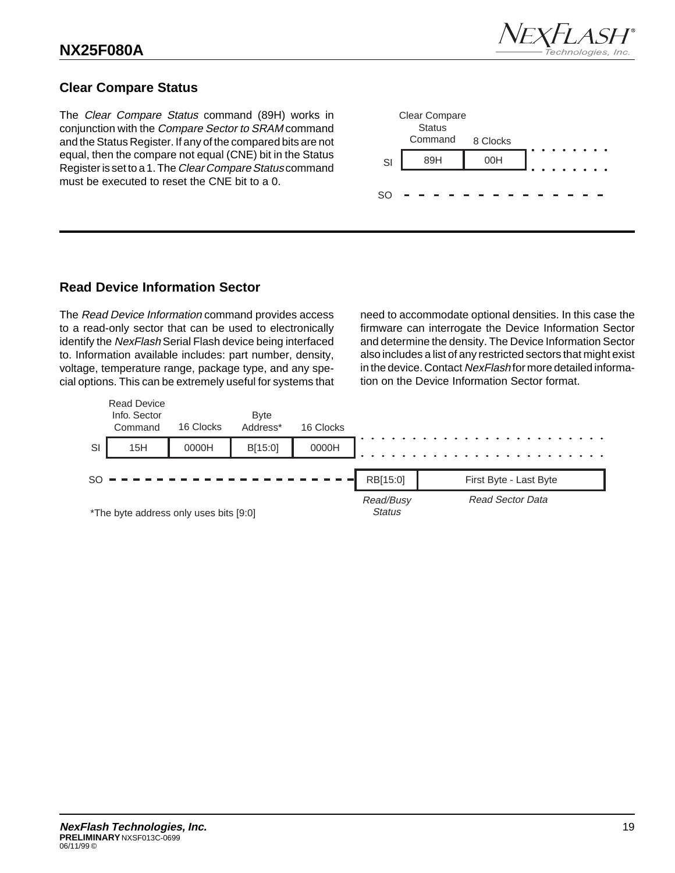

## **Clear Compare Status**

The Clear Compare Status command (89H) works in conjunction with the Compare Sector to SRAM command and the Status Register. If any of the compared bits are not equal, then the compare not equal (CNE) bit in the Status Register is set to a 1. The Clear Compare Status command must be executed to reset the CNE bit to a 0.



## **Read Device Information Sector**

The Read Device Information command provides access to a read-only sector that can be used to electronically identify the NexFlash Serial Flash device being interfaced to. Information available includes: part number, density, voltage, temperature range, package type, and any special options. This can be extremely useful for systems that need to accommodate optional densities. In this case the firmware can interrogate the Device Information Sector and determine the density. The Device Information Sector also includes a list of any restricted sectors that might exist in the device. Contact NexFlash for more detailed information on the Device Information Sector format.

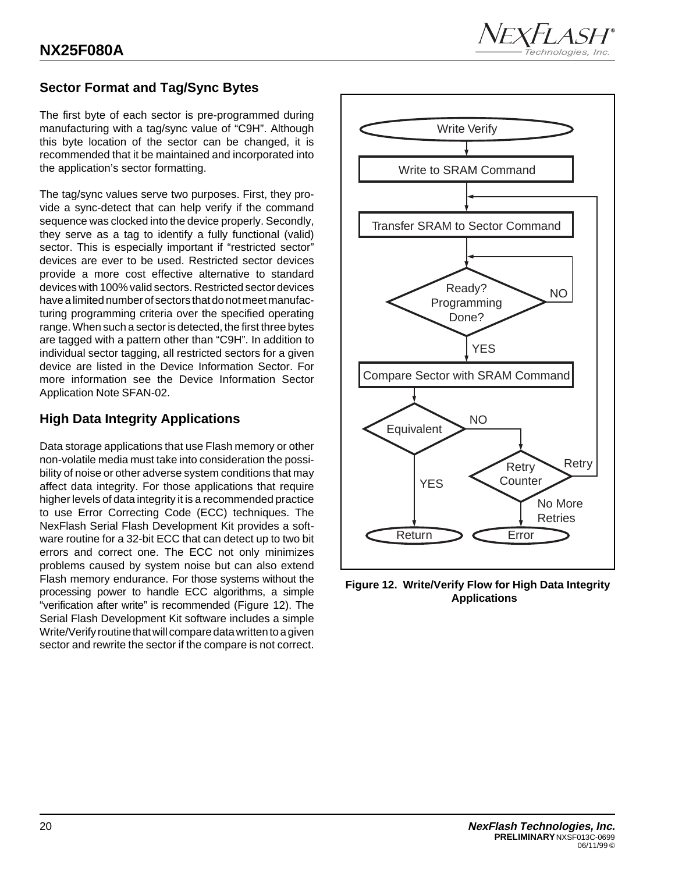

## **Sector Format and Tag/Sync Bytes**

The first byte of each sector is pre-programmed during manufacturing with a tag/sync value of "C9H". Although this byte location of the sector can be changed, it is recommended that it be maintained and incorporated into the application's sector formatting.

The tag/sync values serve two purposes. First, they provide a sync-detect that can help verify if the command sequence was clocked into the device properly. Secondly, they serve as a tag to identify a fully functional (valid) sector. This is especially important if "restricted sector" devices are ever to be used. Restricted sector devices provide a more cost effective alternative to standard devices with 100% valid sectors. Restricted sector devices have a limited number of sectors that do not meet manufacturing programming criteria over the specified operating range. When such a sector is detected, the first three bytes are tagged with a pattern other than "C9H". In addition to individual sector tagging, all restricted sectors for a given device are listed in the Device Information Sector. For more information see the Device Information Sector Application Note SFAN-02.

## **High Data Integrity Applications**

Data storage applications that use Flash memory or other non-volatile media must take into consideration the possibility of noise or other adverse system conditions that may affect data integrity. For those applications that require higher levels of data integrity it is a recommended practice to use Error Correcting Code (ECC) techniques. The NexFlash Serial Flash Development Kit provides a software routine for a 32-bit ECC that can detect up to two bit errors and correct one. The ECC not only minimizes problems caused by system noise but can also extend Flash memory endurance. For those systems without the processing power to handle ECC algorithms, a simple "verification after write" is recommended (Figure 12). The Serial Flash Development Kit software includes a simple Write/Verify routine that will compare data written to a given sector and rewrite the sector if the compare is not correct.



**Figure 12. Write/Verify Flow for High Data Integrity Applications**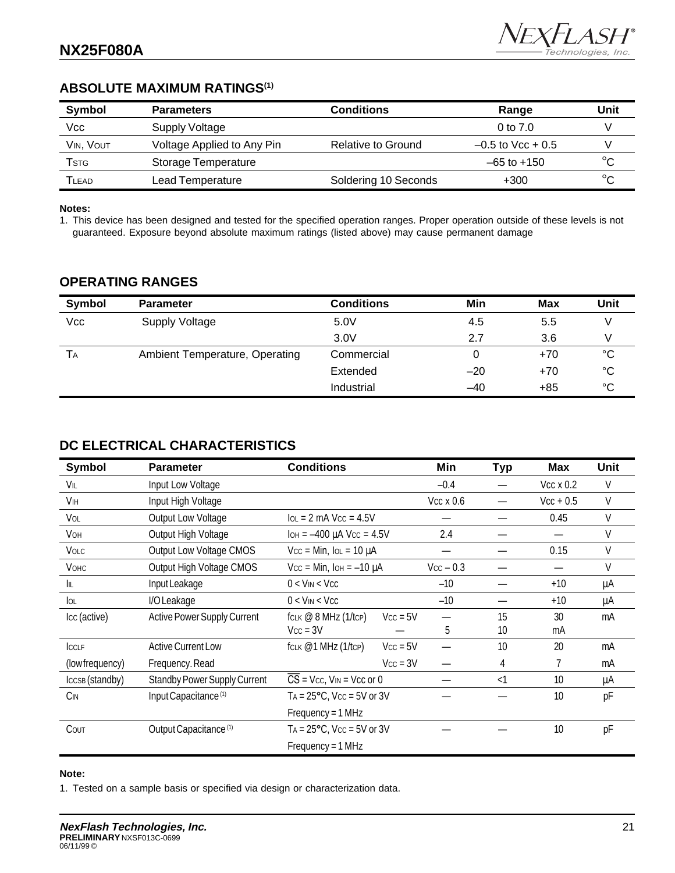## **ABSOLUTE MAXIMUM RATINGS(1)**

| Symbol    | <b>Parameters</b>          | Conditions           | Range               | Unit   |
|-----------|----------------------------|----------------------|---------------------|--------|
| Vcc       | Supply Voltage             |                      | 0 to $7.0$          |        |
| VIN, VOUT | Voltage Applied to Any Pin | Relative to Ground   | $-0.5$ to Vcc + 0.5 |        |
| Tstg      | Storage Temperature        |                      | $-65$ to $+150$     | $\sim$ |
| TLEAD     | Lead Temperature           | Soldering 10 Seconds | $+300$              | $\sim$ |

#### **Notes:**

1. This device has been designed and tested for the specified operation ranges. Proper operation outside of these levels is not guaranteed. Exposure beyond absolute maximum ratings (listed above) may cause permanent damage

## **OPERATING RANGES**

| Symbol | <b>Parameter</b>               | <b>Conditions</b> | Min   | Max   | Unit |
|--------|--------------------------------|-------------------|-------|-------|------|
| Vcc    | Supply Voltage                 | 5.0V              | 4.5   | 5.5   |      |
|        |                                | 3.0V              | 2.7   | 3.6   |      |
| Tа     | Ambient Temperature, Operating | Commercial        | 0     | $+70$ | °C   |
|        |                                | Extended          | $-20$ | $+70$ | °C   |
|        |                                | Industrial        | $-40$ | $+85$ | °C   |

## **DC ELECTRICAL CHARACTERISTICS**

| Symbol          | <b>Parameter</b>                    | <b>Conditions</b>                                 | Min              | <b>Typ</b> | <b>Max</b>       | Unit   |
|-----------------|-------------------------------------|---------------------------------------------------|------------------|------------|------------------|--------|
| VIL             | Input Low Voltage                   |                                                   | $-0.4$           |            | $Vcc \times 0.2$ | V      |
| VIH             | Input High Voltage                  |                                                   | $Vcc \times 0.6$ |            | $Vcc + 0.5$      | V      |
| VOL             | Output Low Voltage                  | $IOL = 2 mA$ Vcc = 4.5V                           |                  |            | 0.45             | V      |
| VOH             | Output High Voltage                 | $I$ OH = $-400 \mu A$ Vcc = 4.5V                  | 2.4              |            |                  | $\vee$ |
| <b>VOLC</b>     | Output Low Voltage CMOS             | $Vcc = Min$ , $IOL = 10 \mu A$                    |                  |            | 0.15             | V      |
| <b>V</b> онс    | Output High Voltage CMOS            | $Vcc = Min$ , $IOH = -10 \mu A$                   | $Vcc - 0.3$      |            |                  | V      |
| IL              | Input Leakage                       | $0 <$ V <sub>IN</sub> $<$ V <sub>CC</sub>         | $-10$            |            | $+10$            | μA     |
| <b>OL</b>       | I/O Leakage                         | $0 <$ V <sub>IN</sub> $<$ Vcc                     | $-10$            |            | $+10$            | μA     |
| Icc (active)    | Active Power Supply Current         | $fCLK \n\omega 8 MHz (1/tcP)$<br>$Vcc = 5V$       |                  | 15         | 30               | mA     |
|                 |                                     | $Vcc = 3V$                                        | 5                | 10         | mA               |        |
| ICCLF           | <b>Active Current Low</b>           | fclk @1 MHz (1/tcp)<br>$Vcc = 5V$                 |                  | 10         | 20               | mA     |
| (low frequency) | Frequency. Read                     | $Vcc = 3V$                                        |                  | 4          |                  | mA     |
| IccsB (standby) | <b>Standby Power Supply Current</b> | $\overline{CS}$ = Vcc, V <sub>IN</sub> = Vcc or 0 |                  | $<$ 1      | 10               | μA     |
| $C_{IN}$        | Input Capacitance <sup>(1)</sup>    | $TA = 25^{\circ}C$ , $Vcc = 5V$ or 3V             |                  |            | 10               | pF     |
|                 |                                     | $Frequency = 1 MHz$                               |                  |            |                  |        |
| COUT            | Output Capacitance <sup>(1)</sup>   | $TA = 25^{\circ}C$ , $Vcc = 5V$ or 3V             |                  |            | 10               | pF     |
|                 |                                     | $Frequency = 1 MHz$                               |                  |            |                  |        |

#### **Note:**

1. Tested on a sample basis or specified via design or characterization data.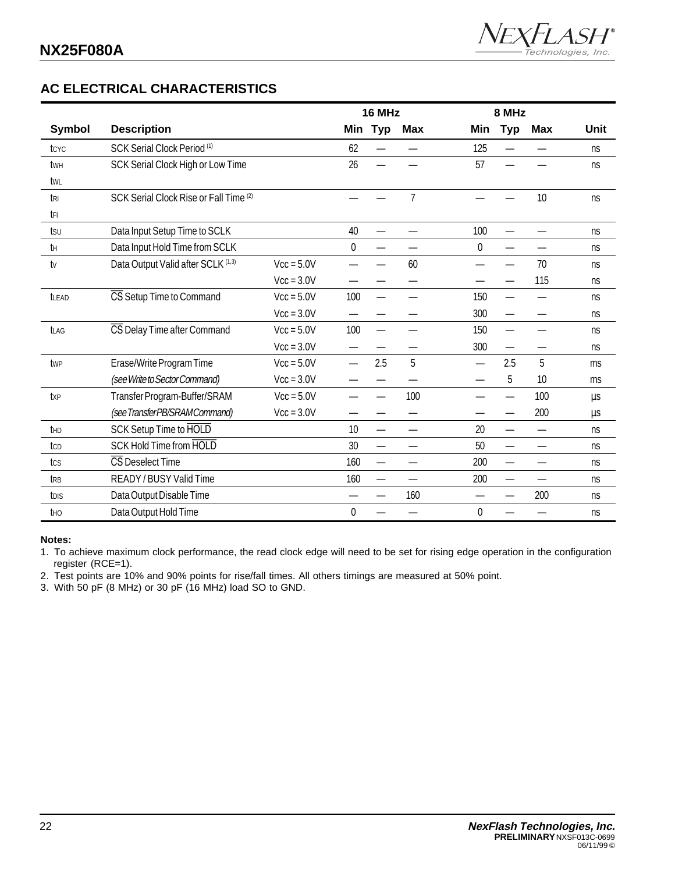## **AC ELECTRICAL CHARACTERISTICS**

|                 |                                        |              | 16 MHz      |                          |                | 8 MHz       |            |            |      |
|-----------------|----------------------------------------|--------------|-------------|--------------------------|----------------|-------------|------------|------------|------|
| <b>Symbol</b>   | <b>Description</b>                     |              | Min         | <b>Typ</b>               | <b>Max</b>     | Min         | <b>Typ</b> | <b>Max</b> | Unit |
| tcyc            | SCK Serial Clock Period (1)            |              | 62          |                          |                | 125         |            |            | ns   |
| twh             | SCK Serial Clock High or Low Time      |              | 26          |                          |                | 57          |            |            | ns   |
| twl             |                                        |              |             |                          |                |             |            |            |      |
| tri             | SCK Serial Clock Rise or Fall Time (2) |              |             |                          | $\overline{7}$ |             |            | 10         | ns   |
| tFI             |                                        |              |             |                          |                |             |            |            |      |
| tsu             | Data Input Setup Time to SCLK          |              | 40          |                          |                | 100         |            |            | ns   |
| tΗ              | Data Input Hold Time from SCLK         |              | $\mathbf 0$ |                          |                | $\mathbf 0$ |            |            | ns   |
| tv              | Data Output Valid after SCLK (1,3)     | $Vcc = 5.0V$ |             |                          | 60             |             |            | 70         | ns   |
|                 |                                        | $Vcc = 3.0V$ |             |                          |                |             |            | 115        | ns   |
| tLEAD           | CS Setup Time to Command               | $Vcc = 5.0V$ | 100         | $\overline{\phantom{0}}$ |                | 150         |            |            | ns   |
|                 |                                        | $Vcc = 3.0V$ |             |                          |                | 300         |            |            | ns   |
| <b>tLAG</b>     | CS Delay Time after Command            | $Vcc = 5.0V$ | 100         | —                        |                | 150         |            |            | ns   |
|                 |                                        | $Vcc = 3.0V$ |             |                          |                | 300         |            |            | ns   |
| twp             | Erase/Write Program Time               | $Vcc = 5.0V$ |             | 2.5                      | 5              |             | 2.5        | 5          | ms   |
|                 | (see Write to Sector Command)          | $Vcc = 3.0V$ |             |                          |                |             | 5          | 10         | ms   |
| txp             | Transfer Program-Buffer/SRAM           | $Vcc = 5.0V$ |             |                          | 100            |             |            | 100        | μs   |
|                 | (see TransferPB/SRAMCommand)           | $Vcc = 3.0V$ |             |                          | —              |             |            | 200        | μs   |
| th <sub>D</sub> | SCK Setup Time to HOLD                 |              | 10          | $\overline{\phantom{0}}$ | —              | 20          |            |            | ns   |
| tcp             | SCK Hold Time from HOLD                |              | 30          | —                        | —              | 50          |            |            | ns   |
| tcs             | CS Deselect Time                       |              | 160         |                          | —              | 200         |            |            | ns   |
| trb             | READY / BUSY Valid Time                |              | 160         | $\overline{\phantom{0}}$ |                | 200         |            |            | ns   |
| tdis            | Data Output Disable Time               |              |             | —                        | 160            |             |            | 200        | ns   |
| tho             | Data Output Hold Time                  |              | 0           |                          |                | 0           |            |            | ns   |

#### **Notes:**

1. To achieve maximum clock performance, the read clock edge will need to be set for rising edge operation in the configuration register (RCE=1).

2. Test points are 10% and 90% points for rise/fall times. All others timings are measured at 50% point.

3. With 50 pF (8 MHz) or 30 pF (16 MHz) load SO to GND.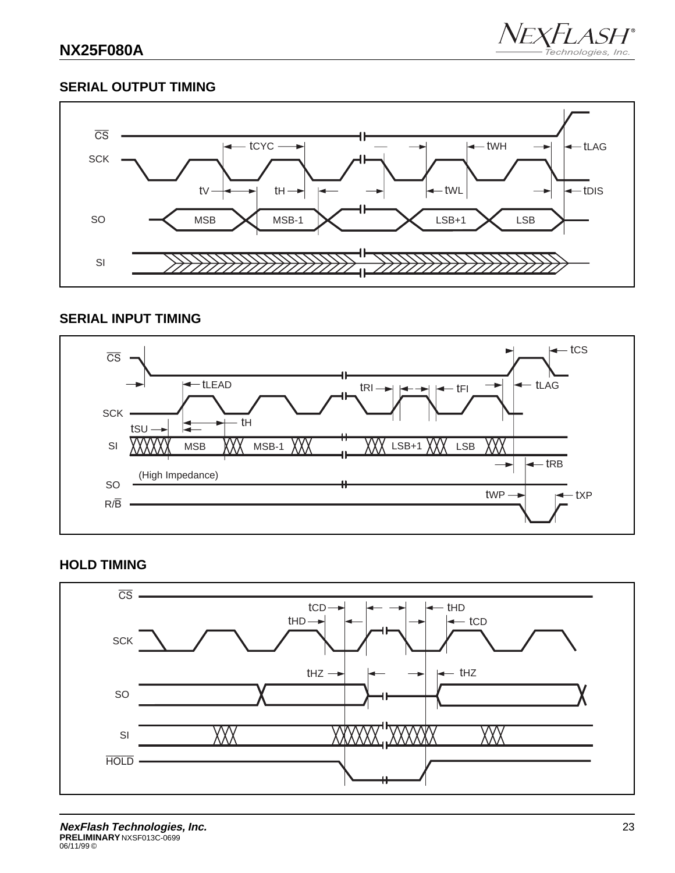

## **SERIAL OUTPUT TIMING**



## **SERIAL INPUT TIMING**



## **HOLD TIMING**

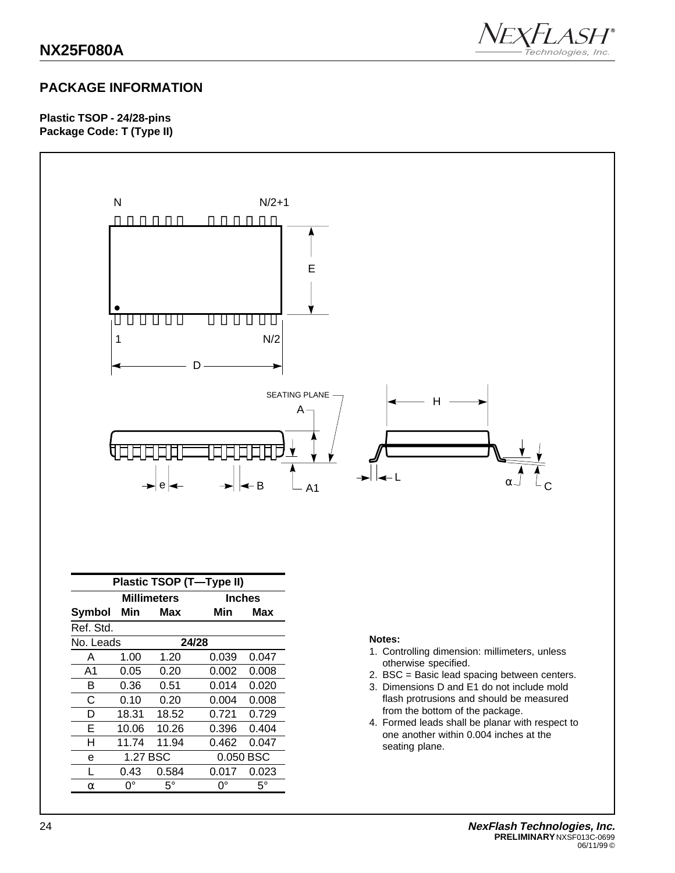

## **PACKAGE INFORMATION**

**Plastic TSOP - 24/28-pins Package Code: T (Type II)**